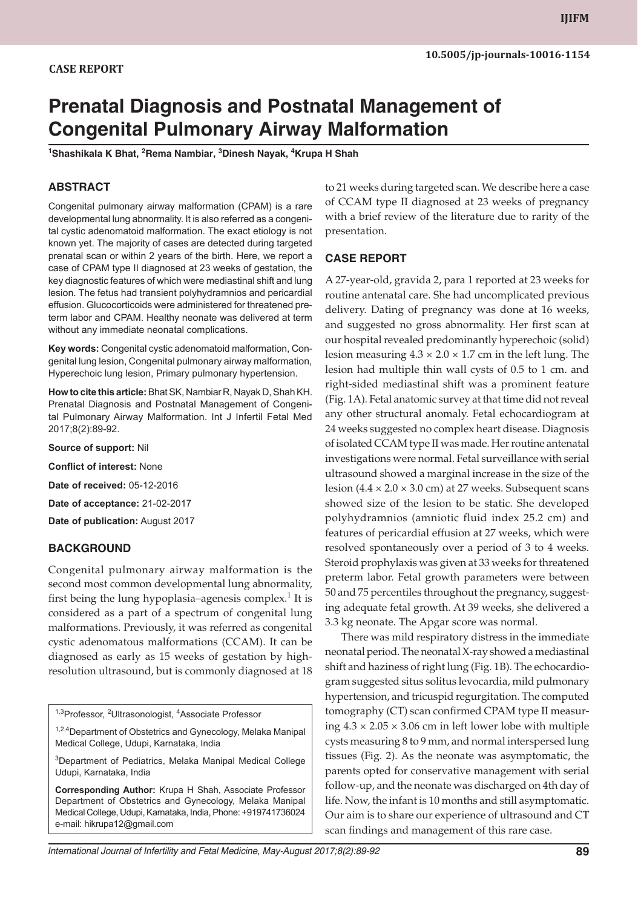# **Prenatal Diagnosis and Postnatal Management of Congenital Pulmonary Airway Malformation**

**1 Shashikala K Bhat, 2 Rema Nambiar, <sup>3</sup> Dinesh Nayak, <sup>4</sup> Krupa H Shah**

# **ABSTRACT**

Congenital pulmonary airway malformation (CPAM) is a rare developmental lung abnormality. It is also referred as a congenital cystic adenomatoid malformation. The exact etiology is not known yet. The majority of cases are detected during targeted prenatal scan or within 2 years of the birth. Here, we report a case of CPAM type II diagnosed at 23 weeks of gestation, the key diagnostic features of which were mediastinal shift and lung lesion. The fetus had transient polyhydramnios and pericardial effusion. Glucocorticoids were administered for threatened preterm labor and CPAM. Healthy neonate was delivered at term without any immediate neonatal complications.

**Key words:** Congenital cystic adenomatoid malformation, Congenital lung lesion, Congenital pulmonary airway malformation, Hyperechoic lung lesion, Primary pulmonary hypertension.

**How to cite this article:** Bhat SK, Nambiar R, Nayak D, Shah KH. Prenatal Diagnosis and Postnatal Management of Congenital Pulmonary Airway Malformation. Int J Infertil Fetal Med 2017;8(2):89-92.

**Source of support:** Nil

**Conflict of interest:** None

**Date of received:** 05-12-2016

**Date of acceptance:** 21-02-2017

**Date of publication:** August 2017

## **BACKGROUND**

Congenital pulmonary airway malformation is the second most common developmental lung abnormality, first being the lung hypoplasia–agenesis complex.<sup>1</sup> It is considered as a part of a spectrum of congenital lung malformations. Previously, it was referred as congenital cystic adenomatous malformations (CCAM). It can be diagnosed as early as 15 weeks of gestation by highresolution ultrasound, but is commonly diagnosed at 18

<sup>1,3</sup>Professor, <sup>2</sup>Ultrasonologist, <sup>4</sup>Associate Professor

<sup>1,2,4</sup>Department of Obstetrics and Gynecology, Melaka Manipal Medical College, Udupi, Karnataka, India

3 Department of Pediatrics, Melaka Manipal Medical College Udupi, Karnataka, India

**Corresponding Author:** Krupa H Shah, Associate Professor Department of Obstetrics and Gynecology, Melaka Manipal Medical College, Udupi, Karnataka, India, Phone: +919741736024 e-mail: hikrupa12@gmail.com

to 21 weeks during targeted scan. We describe here a case of CCAM type II diagnosed at 23 weeks of pregnancy with a brief review of the literature due to rarity of the presentation.

## **CASE REPORT**

A 27-year-old, gravida 2, para 1 reported at 23 weeks for routine antenatal care. She had uncomplicated previous delivery. Dating of pregnancy was done at 16 weeks, and suggested no gross abnormality. Her first scan at our hospital revealed predominantly hyperechoic (solid) lesion measuring  $4.3 \times 2.0 \times 1.7$  cm in the left lung. The lesion had multiple thin wall cysts of 0.5 to 1 cm. and right-sided mediastinal shift was a prominent feature (Fig. 1A). Fetal anatomic survey at that time did not reveal any other structural anomaly. Fetal echocardiogram at 24 weeks suggested no complex heart disease. Diagnosis of isolated CCAM type II was made. Her routine antenatal investigations were normal. Fetal surveillance with serial ultrasound showed a marginal increase in the size of the lesion  $(4.4 \times 2.0 \times 3.0 \text{ cm})$  at 27 weeks. Subsequent scans showed size of the lesion to be static. She developed polyhydramnios (amniotic fluid index 25.2 cm) and features of pericardial effusion at 27 weeks, which were resolved spontaneously over a period of 3 to 4 weeks. Steroid prophylaxis was given at 33 weeks for threatened preterm labor. Fetal growth parameters were between 50 and 75 percentiles throughout the pregnancy, suggesting adequate fetal growth. At 39 weeks, she delivered a 3.3 kg neonate. The Apgar score was normal.

There was mild respiratory distress in the immediate neonatal period. The neonatal X-ray showed a mediastinal shift and haziness of right lung (Fig. 1B). The echocardiogram suggested situs solitus levocardia, mild pulmonary hypertension, and tricuspid regurgitation. The computed tomography (CT) scan confirmed CPAM type II measuring  $4.3 \times 2.05 \times 3.06$  cm in left lower lobe with multiple cysts measuring 8 to 9 mm, and normal interspersed lung tissues (Fig. 2). As the neonate was asymptomatic, the parents opted for conservative management with serial follow-up, and the neonate was discharged on 4th day of life. Now, the infant is 10 months and still asymptomatic. Our aim is to share our experience of ultrasound and CT scan findings and management of this rare case.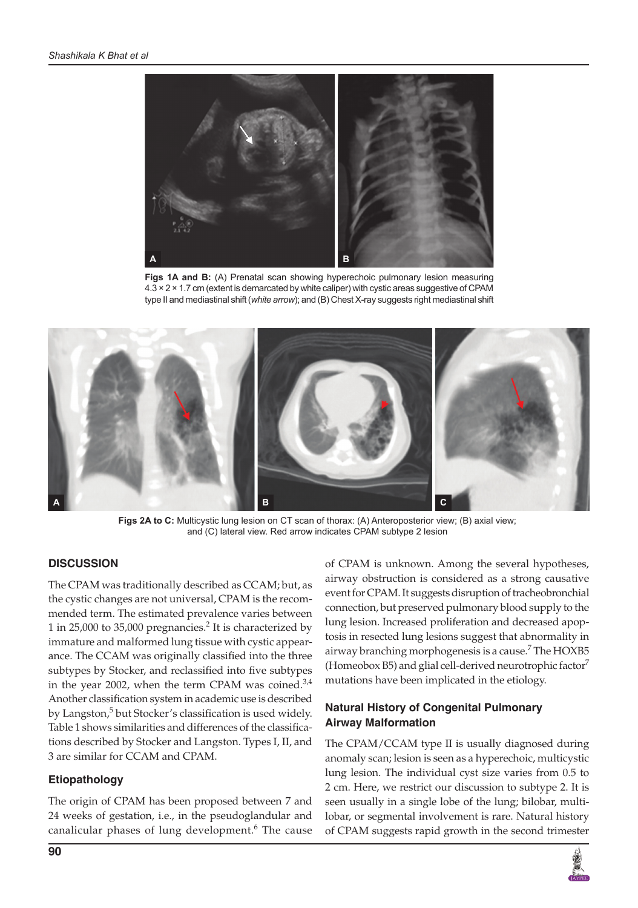

**Figs 1A and B:** (A) Prenatal scan showing hyperechoic pulmonary lesion measuring 4.3 × 2 × 1.7 cm (extent is demarcated by white caliper) with cystic areas suggestive of CPAM type II and mediastinal shift (*white arrow*); and (B) Chest X-ray suggests right mediastinal shift



**Figs 2A to C:** Multicystic lung lesion on CT scan of thorax: (A) Anteroposterior view; (B) axial view; and (C) lateral view. Red arrow indicates CPAM subtype 2 lesion

## **DISCUSSION**

The CPAM was traditionally described as CCAM; but, as the cystic changes are not universal, CPAM is the recommended term. The estimated prevalence varies between 1 in 25,000 to 35,000 pregnancies.<sup>2</sup> It is characterized by immature and malformed lung tissue with cystic appearance. The CCAM was originally classified into the three subtypes by Stocker, and reclassified into five subtypes in the year 2002, when the term CPAM was coined. $3,4$ Another classification system in academic use is described by Langston,<sup>5</sup> but Stocker's classification is used widely. Table 1 shows similarities and differences of the classifications described by Stocker and Langston. Types I, II, and 3 are similar for CCAM and CPAM.

#### **Etiopathology**

The origin of CPAM has been proposed between 7 and 24 weeks of gestation, i.e., in the pseudoglandular and canalicular phases of lung development.<sup>6</sup> The cause of CPAM is unknown. Among the several hypotheses, airway obstruction is considered as a strong causative event for CPAM. It suggests disruption of tracheobronchial connection, but preserved pulmonary blood supply to the lung lesion. Increased proliferation and decreased apoptosis in resected lung lesions suggest that abnormality in airway branching morphogenesis is a cause.<sup>7</sup> The HOXB5 (Homeobox B5) and glial cell-derived neurotrophic factor<sup>7</sup> mutations have been implicated in the etiology.

# **Natural History of Congenital Pulmonary Airway Malformation**

The CPAM/CCAM type II is usually diagnosed during anomaly scan; lesion is seen as a hyperechoic, multicystic lung lesion. The individual cyst size varies from 0.5 to 2 cm. Here, we restrict our discussion to subtype 2. It is seen usually in a single lobe of the lung; bilobar, multilobar, or segmental involvement is rare. Natural history of CPAM suggests rapid growth in the second trimester

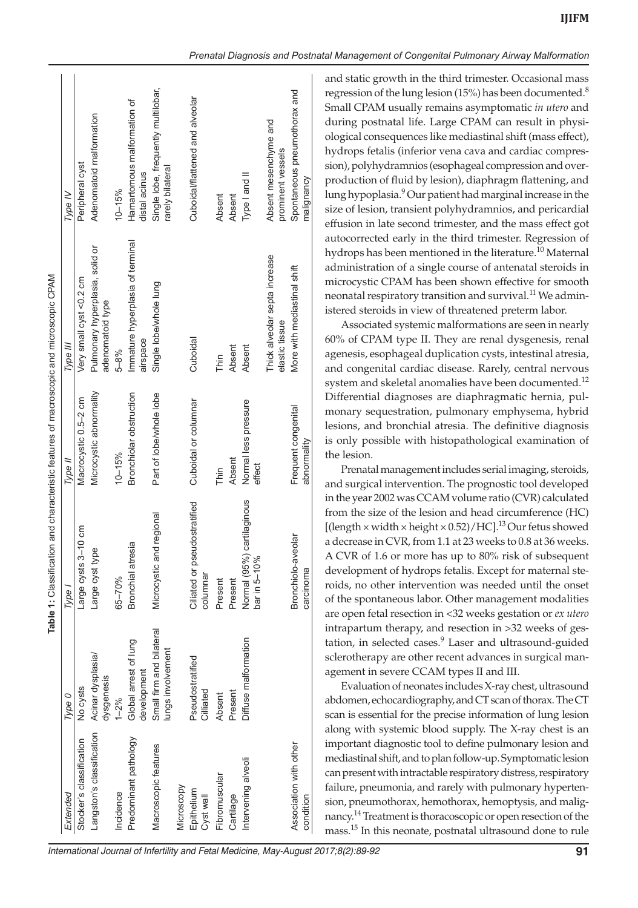|                                     |                                               | Table 1: Classification and characteristic features of macroscopic and microscopic CPAM |                                    |                                                     |                                                         |
|-------------------------------------|-----------------------------------------------|-----------------------------------------------------------------------------------------|------------------------------------|-----------------------------------------------------|---------------------------------------------------------|
| Extended                            | Type 0                                        | Type I                                                                                  | Type II                            | Type III                                            | Type IV                                                 |
| Stocker's classification            | No cysts                                      | Large cysts 3-10 cm                                                                     | Macrocystic 0.5-2 cm               | Very small cyst <0.2 cm                             | Peripheral cyst                                         |
| Langston's classification           | Acinar dysplasia/<br>dysgenesis               | φ<br>Large cyst typ                                                                     | Microcystic abnormality            | Pulmonary hyperplasia, solid or<br>adenomatoid type | Adenomatoid malformation                                |
| Incidence                           | $1 - 2%$                                      | 65-70%                                                                                  | $10 - 15%$                         | 5-8%                                                | $10 - 15%$                                              |
| Predominant pathology               | Global arrest of lung<br>development          | Bronchial atresia                                                                       | Bronchiolar obstruction            | Immature hyperplasia of terminal<br>airspace        | Hamartomous malformation of<br>distal acinus            |
| Macroscopic features                | Small firm and bilateral<br>lungs involvement | Microcystic and regional                                                                | Part of lobe/whole lobe            | Single lobe/whole lung                              | Single lobe, frequently multilobar,<br>rarely bilateral |
| Microscopy                          |                                               |                                                                                         |                                    |                                                     |                                                         |
| Epithelium<br>Cyst wall             | Pseudostratified<br>Cilliated                 | Ciliated or pseudostratified<br>columnar                                                | Cuboidal or columnar               | Cuboidal                                            | Cuboidal/flattened and alveolar                         |
| Fibromuscular                       | Absent                                        | Present                                                                                 | Thin                               | Thin                                                | Absent                                                  |
| Cartilage                           | Present                                       | Present                                                                                 | Absent                             | Absent                                              | Absent                                                  |
| Intervening alveoli                 | Diffuse malformation                          | cartilaginous<br>Normal (95%)<br>bar in $5-10%$                                         | Normal less pressure<br>effect     | Absent                                              | Type I and II                                           |
|                                     |                                               |                                                                                         |                                    | Thick alveolar septa increase<br>elastic tissue     | Absent mesenchyme and<br>prominent vessels              |
| Association with other<br>condition |                                               | Bronchiolo-aveolar<br>carcinoma                                                         | Frequent congenital<br>abnormality | More with mediastinal shift                         | Spontaneous pneumothorax and<br>malignancy              |
|                                     |                                               |                                                                                         |                                    |                                                     |                                                         |

Evaluation of neonates includes X-ray chest, ultrasound abdomen, echocardiography, and CT scan of thorax. The CT scan is essential for the precise information of lung lesion along with systemic blood supply. The X-ray chest is an important diagnostic tool to define pulmonary lesion and mediastinal shift, and to plan follow-up. Symptomatic lesion can present with intractable respiratory distress, respiratory failure, pneumonia, and rarely with pulmonary hypertension, pneumothorax, hemothorax, hemoptysis, and malignancy.14 Treatment is thoracoscopic or open resection of the mass.<sup>15</sup> In this neonate, postnatal ultrasound done to rule

and static growth in the third trimester. Occasional mass regression of the lung lesion (15%) has been documented.<sup>8</sup> Small CPAM usually remains asymptomatic *in utero* and during postnatal life. Large CPAM can result in physiological consequences like mediastinal shift (mass effect), hydrops fetalis (inferior vena cava and cardiac compression), polyhydramnios (esophageal compression and overproduction of fluid by lesion), diaphragm flattening, and lung hypoplasia.<sup>9</sup> Our patient had marginal increase in the size of lesion, transient polyhydramnios, and pericardial effusion in late second trimester, and the mass effect got autocorrected early in the third trimester. Regression of hydrops has been mentioned in the literature.<sup>10</sup> Maternal administration of a single course of antenatal steroids in microcystic CPAM has been shown effective for smooth neonatal respiratory transition and survival.<sup>11</sup> We administered steroids in view of threatened preterm labor.

**ijifm**

Associated systemic malformations are seen in nearly 60% of CPAM type II. They are renal dysgenesis, renal agenesis, esophageal duplication cysts, intestinal atresia, and congenital cardiac disease. Rarely, central nervous system and skeletal anomalies have been documented.<sup>12</sup> Differential diagnoses are diaphragmatic hernia, pulmonary sequestration, pulmonary emphysema, hybrid lesions, and bronchial atresia. The definitive diagnosis is only possible with histopathological examination of the lesion.

Prenatal management includes serial imaging, steroids, and surgical intervention. The prognostic tool developed in the year 2002 was CCAM volume ratio (CVR) calculated from the size of the lesion and head circumference (HC) [(length  $\times$  width  $\times$  height  $\times$  0.52)/HC].<sup>13</sup> Our fetus showed a decrease in CVR, from 1.1 at 23 weeks to 0.8 at 36 weeks. A CVR of 1.6 or more has up to 80% risk of subsequent development of hydrops fetalis. Except for maternal steroids, no other intervention was needed until the onset of the spontaneous labor. Other management modalities are open fetal resection in <32 weeks gestation or *ex utero* intrapartum therapy, and resection in >32 weeks of gestation, in selected cases.<sup>9</sup> Laser and ultrasound-guided sclerotherapy are other recent advances in surgical management in severe CCAM types II and III.